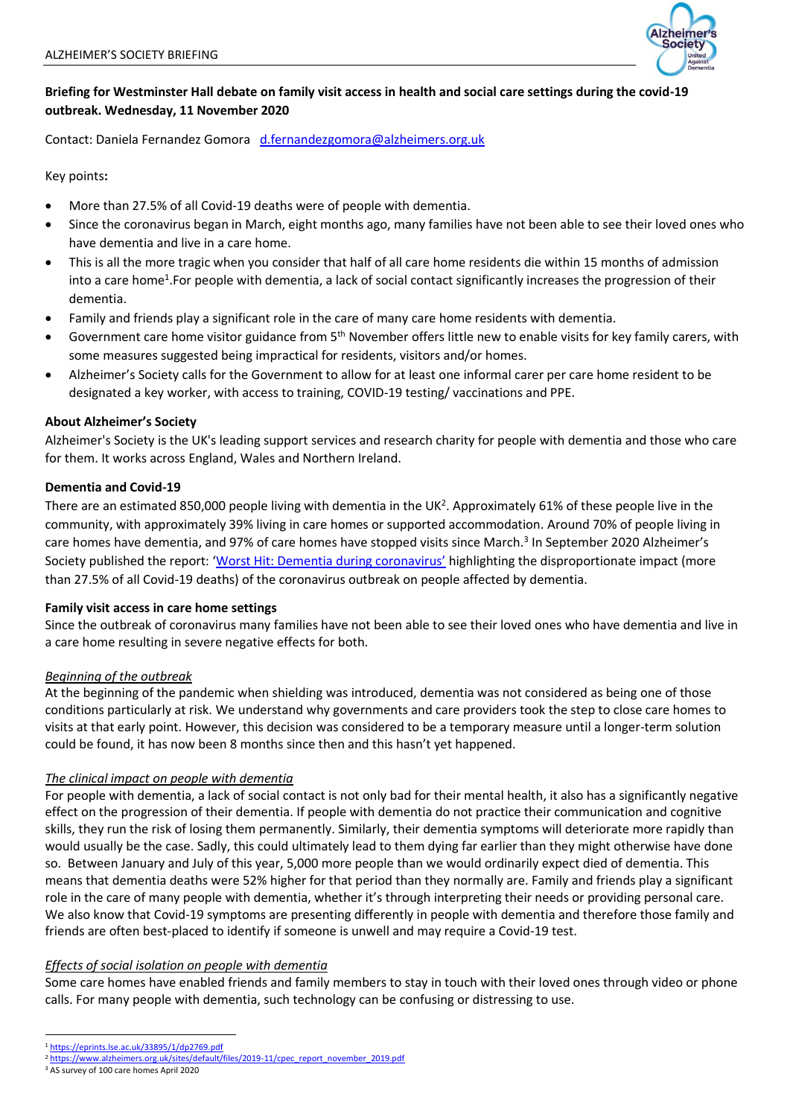

# **Briefing for Westminster Hall debate on family visit access in health and social care settings during the covid-19 outbreak. Wednesday, 11 November 2020**

Contact: Daniela Fernandez Gomora [d.fernandezgomora@alzheimers.org.uk](mailto:d.fernandezgomora@alzheimers.org.uk)

Key points**:**

- More than 27.5% of all Covid-19 deaths were of people with dementia.
- Since the coronavirus began in March, eight months ago, many families have not been able to see their loved ones who have dementia and live in a care home.
- This is all the more tragic when you consider that half of all care home residents die within 15 months of admission into a care home<sup>1</sup>. For people with dementia, a lack of social contact significantly increases the progression of their dementia.
- Family and friends play a significant role in the care of many care home residents with dementia.
- Government care home visitor guidance from 5<sup>th</sup> November offers little new to enable visits for key family carers, with some measures suggested being impractical for residents, visitors and/or homes.
- Alzheimer's Society calls for the Government to allow for at least one informal carer per care home resident to be designated a key worker, with access to training, COVID-19 testing/ vaccinations and PPE.

# **About Alzheimer's Society**

Alzheimer's Society is the UK's leading support services and research charity for people with dementia and those who care for them. It works across England, Wales and Northern Ireland.

## **Dementia and Covid-19**

There are an estimated 850,000 people living with dementia in the UK<sup>2</sup>. Approximately 61% of these people live in the community, with approximately 39% living in care homes or supported accommodation. Around 70% of people living in care homes have dementia, and 97% of care homes have stopped visits since March.<sup>3</sup> In September 2020 Alzheimer's Society published the report: ['Worst Hit: Dementia during coronavirus'](https://www.alzheimers.org.uk/sites/default/files/2020-09/Worst-hit-Dementia-during-coronavirus-report.pdf) highlighting the disproportionate impact (more than 27.5% of all Covid-19 deaths) of the coronavirus outbreak on people affected by dementia.

## **Family visit access in care home settings**

Since the outbreak of coronavirus many families have not been able to see their loved ones who have dementia and live in a care home resulting in severe negative effects for both.

## *Beginning of the outbreak*

At the beginning of the pandemic when shielding was introduced, dementia was not considered as being one of those conditions particularly at risk. We understand why governments and care providers took the step to close care homes to visits at that early point. However, this decision was considered to be a temporary measure until a longer-term solution could be found, it has now been 8 months since then and this hasn't yet happened.

## *The clinical impact on people with dementia*

For people with dementia, a lack of social contact is not only bad for their mental health, it also has a significantly negative effect on the progression of their dementia. If people with dementia do not practice their communication and cognitive skills, they run the risk of losing them permanently. Similarly, their dementia symptoms will deteriorate more rapidly than would usually be the case. Sadly, this could ultimately lead to them dying far earlier than they might otherwise have done so. Between January and July of this year, 5,000 more people than we would ordinarily expect died of dementia. This means that dementia deaths were 52% higher for that period than they normally are. Family and friends play a significant role in the care of many people with dementia, whether it's through interpreting their needs or providing personal care. We also know that Covid-19 symptoms are presenting differently in people with dementia and therefore those family and friends are often best-placed to identify if someone is unwell and may require a Covid-19 test.

## *Effects of social isolation on people with dementia*

Some care homes have enabled friends and family members to stay in touch with their loved ones through video or phone calls. For many people with dementia, such technology can be confusing or distressing to use.

<sup>1</sup> <https://eprints.lse.ac.uk/33895/1/dp2769.pdf>

<sup>&</sup>lt;sup>2</sup> [https://www.alzheimers.org.uk/sites/default/files/2019-11/cpec\\_report\\_november\\_2019.pdf](https://www.alzheimers.org.uk/sites/default/files/2019-11/cpec_report_november_2019.pdf)

<sup>3</sup> AS survey of 100 care homes April 2020